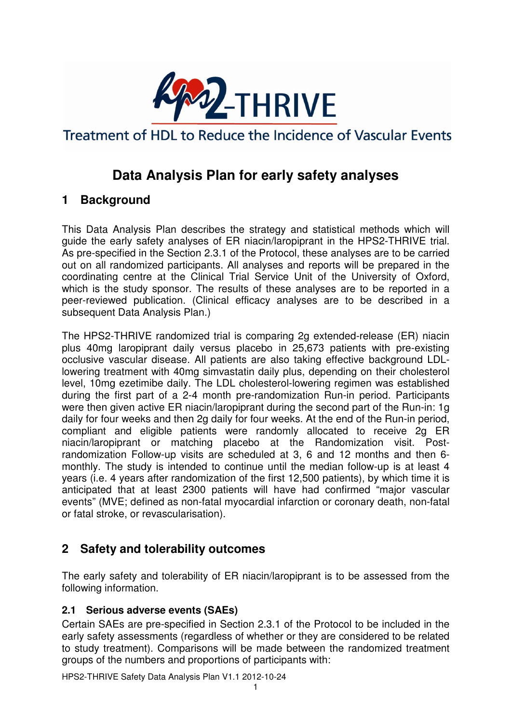

Treatment of HDL to Reduce the Incidence of Vascular Events

# **Data Analysis Plan for early safety analyses**

## **1 Background**

This Data Analysis Plan describes the strategy and statistical methods which will guide the early safety analyses of ER niacin/laropiprant in the HPS2-THRIVE trial. As pre-specified in the Section 2.3.1 of the Protocol, these analyses are to be carried out on all randomized participants. All analyses and reports will be prepared in the coordinating centre at the Clinical Trial Service Unit of the University of Oxford, which is the study sponsor. The results of these analyses are to be reported in a peer-reviewed publication. (Clinical efficacy analyses are to be described in a subsequent Data Analysis Plan.)

The HPS2-THRIVE randomized trial is comparing 2g extended-release (ER) niacin plus 40mg laropiprant daily versus placebo in 25,673 patients with pre-existing occlusive vascular disease. All patients are also taking effective background LDLlowering treatment with 40mg simvastatin daily plus, depending on their cholesterol level, 10mg ezetimibe daily. The LDL cholesterol-lowering regimen was established during the first part of a 2-4 month pre-randomization Run-in period. Participants were then given active ER niacin/laropiprant during the second part of the Run-in: 1g daily for four weeks and then 2g daily for four weeks. At the end of the Run-in period, compliant and eligible patients were randomly allocated to receive 2g ER niacin/laropiprant or matching placebo at the Randomization visit. Postrandomization Follow-up visits are scheduled at 3, 6 and 12 months and then 6 monthly. The study is intended to continue until the median follow-up is at least 4 years (i.e. 4 years after randomization of the first 12,500 patients), by which time it is anticipated that at least 2300 patients will have had confirmed "major vascular events" (MVE; defined as non-fatal myocardial infarction or coronary death, non-fatal or fatal stroke, or revascularisation).

## **2 Safety and tolerability outcomes**

The early safety and tolerability of ER niacin/laropiprant is to be assessed from the following information.

### **2.1 Serious adverse events (SAEs)**

Certain SAEs are pre-specified in Section 2.3.1 of the Protocol to be included in the early safety assessments (regardless of whether or they are considered to be related to study treatment). Comparisons will be made between the randomized treatment groups of the numbers and proportions of participants with:

HPS2-THRIVE Safety Data Analysis Plan V1.1 2012-10-24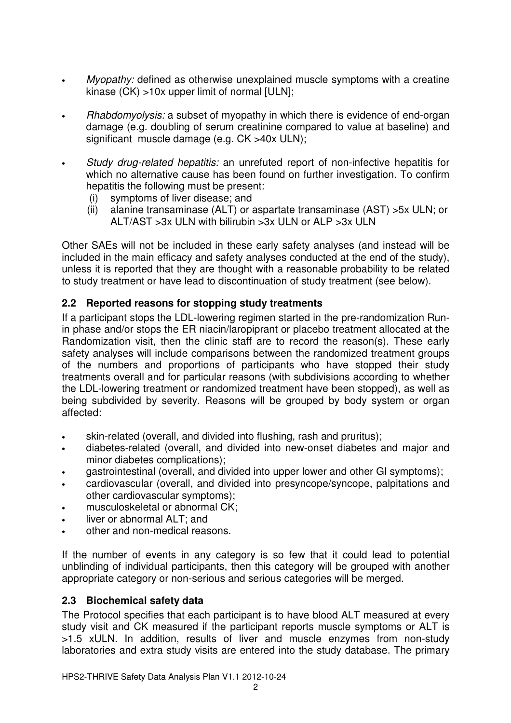- Myopathy: defined as otherwise unexplained muscle symptoms with a creatine kinase (CK) >10x upper limit of normal [ULN];
- Rhabdomyolysis: a subset of myopathy in which there is evidence of end-organ damage (e.g. doubling of serum creatinine compared to value at baseline) and significant muscle damage (e.g. CK >40x ULN);
- Study drug-related hepatitis: an unrefuted report of non-infective hepatitis for which no alternative cause has been found on further investigation. To confirm hepatitis the following must be present:
	- (i) symptoms of liver disease; and
	- (ii) alanine transaminase (ALT) or aspartate transaminase (AST) >5x ULN; or ALT/AST >3x ULN with bilirubin >3x ULN or ALP >3x ULN

Other SAEs will not be included in these early safety analyses (and instead will be included in the main efficacy and safety analyses conducted at the end of the study), unless it is reported that they are thought with a reasonable probability to be related to study treatment or have lead to discontinuation of study treatment (see below).

### **2.2 Reported reasons for stopping study treatments**

If a participant stops the LDL-lowering regimen started in the pre-randomization Runin phase and/or stops the ER niacin/laropiprant or placebo treatment allocated at the Randomization visit, then the clinic staff are to record the reason(s). These early safety analyses will include comparisons between the randomized treatment groups of the numbers and proportions of participants who have stopped their study treatments overall and for particular reasons (with subdivisions according to whether the LDL-lowering treatment or randomized treatment have been stopped), as well as being subdivided by severity. Reasons will be grouped by body system or organ affected:

- skin-related (overall, and divided into flushing, rash and pruritus);
- diabetes-related (overall, and divided into new-onset diabetes and major and minor diabetes complications);
- gastrointestinal (overall, and divided into upper lower and other GI symptoms);
- cardiovascular (overall, and divided into presyncope/syncope, palpitations and other cardiovascular symptoms);
- musculoskeletal or abnormal CK:
- liver or abnormal ALT; and
- other and non-medical reasons.

If the number of events in any category is so few that it could lead to potential unblinding of individual participants, then this category will be grouped with another appropriate category or non-serious and serious categories will be merged.

### **2.3 Biochemical safety data**

The Protocol specifies that each participant is to have blood ALT measured at every study visit and CK measured if the participant reports muscle symptoms or ALT is >1.5 xULN. In addition, results of liver and muscle enzymes from non-study laboratories and extra study visits are entered into the study database. The primary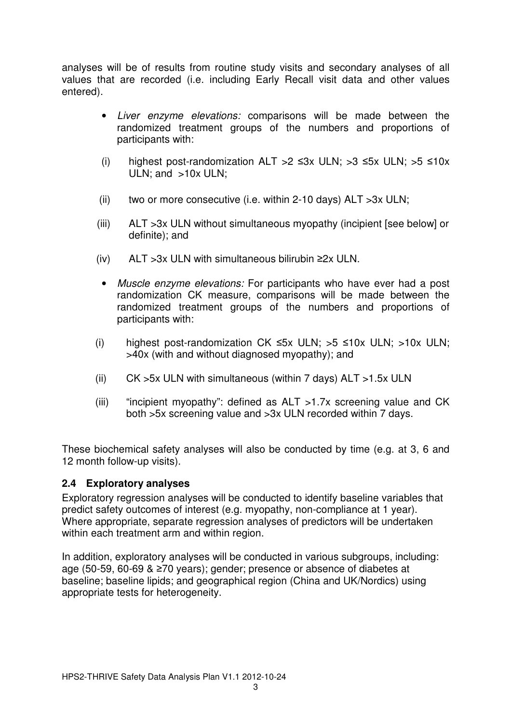analyses will be of results from routine study visits and secondary analyses of all values that are recorded (i.e. including Early Recall visit data and other values entered).

- Liver enzyme elevations: comparisons will be made between the randomized treatment groups of the numbers and proportions of participants with:
- (i) highest post-randomization ALT >2  $\leq 3x$  ULN; >3  $\leq 5x$  ULN; >5  $\leq 10x$ ULN; and >10x ULN;
- (ii) two or more consecutive (i.e. within 2-10 days)  $ALT > 3x$  ULN;
- (iii) ALT >3x ULN without simultaneous myopathy (incipient [see below] or definite); and
- (iv) ALT >3x ULN with simultaneous bilirubin ≥2x ULN.
- Muscle enzyme elevations: For participants who have ever had a post randomization CK measure, comparisons will be made between the randomized treatment groups of the numbers and proportions of participants with:
- (i) highest post-randomization CK ≤5x ULN; >5 ≤10x ULN; >10x ULN; >40x (with and without diagnosed myopathy); and
- (ii)  $CK > 5x$  ULN with simultaneous (within 7 days)  $ALT > 1.5x$  ULN
- (iii) "incipient myopathy": defined as  $ALT > 1.7x$  screening value and CK both >5x screening value and >3x ULN recorded within 7 days.

These biochemical safety analyses will also be conducted by time (e.g. at 3, 6 and 12 month follow-up visits).

#### **2.4 Exploratory analyses**

Exploratory regression analyses will be conducted to identify baseline variables that predict safety outcomes of interest (e.g. myopathy, non-compliance at 1 year). Where appropriate, separate regression analyses of predictors will be undertaken within each treatment arm and within region.

In addition, exploratory analyses will be conducted in various subgroups, including: age (50-59, 60-69 & ≥70 years); gender; presence or absence of diabetes at baseline; baseline lipids; and geographical region (China and UK/Nordics) using appropriate tests for heterogeneity.